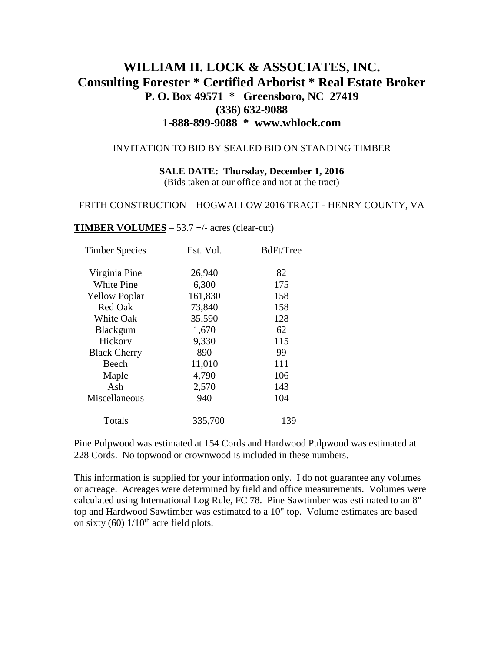# **WILLIAM H. LOCK & ASSOCIATES, INC. Consulting Forester \* Certified Arborist \* Real Estate Broker P. O. Box 49571 \* Greensboro, NC 27419 (336) 632-9088 1-888-899-9088 \* www.whlock.com**

### INVITATION TO BID BY SEALED BID ON STANDING TIMBER

**SALE DATE: Thursday, December 1, 2016** (Bids taken at our office and not at the tract)

### FRITH CONSTRUCTION – HOGWALLOW 2016 TRACT - HENRY COUNTY, VA

#### **TIMBER VOLUMES** – 53.7 +/- acres (clear-cut)

| <b>Timber Species</b> | Est. Vol. | BdFt/Tree |
|-----------------------|-----------|-----------|
| Virginia Pine         | 26,940    | 82        |
| <b>White Pine</b>     | 6,300     | 175       |
| <b>Yellow Poplar</b>  | 161,830   | 158       |
| <b>Red Oak</b>        | 73,840    | 158       |
| <b>White Oak</b>      | 35,590    | 128       |
| <b>Blackgum</b>       | 1,670     | 62        |
| Hickory               | 9,330     | 115       |
| <b>Black Cherry</b>   | 890       | 99        |
| Beech                 | 11,010    | 111       |
| Maple                 | 4,790     | 106       |
| Ash                   | 2,570     | 143       |
| Miscellaneous         | 940       | 104       |
| Totals                | 335,700   | 139       |
|                       |           |           |

Pine Pulpwood was estimated at 154 Cords and Hardwood Pulpwood was estimated at 228 Cords. No topwood or crownwood is included in these numbers.

This information is supplied for your information only. I do not guarantee any volumes or acreage. Acreages were determined by field and office measurements. Volumes were calculated using International Log Rule, FC 78. Pine Sawtimber was estimated to an 8" top and Hardwood Sawtimber was estimated to a 10" top. Volume estimates are based on sixty (60)  $1/10^{th}$  acre field plots.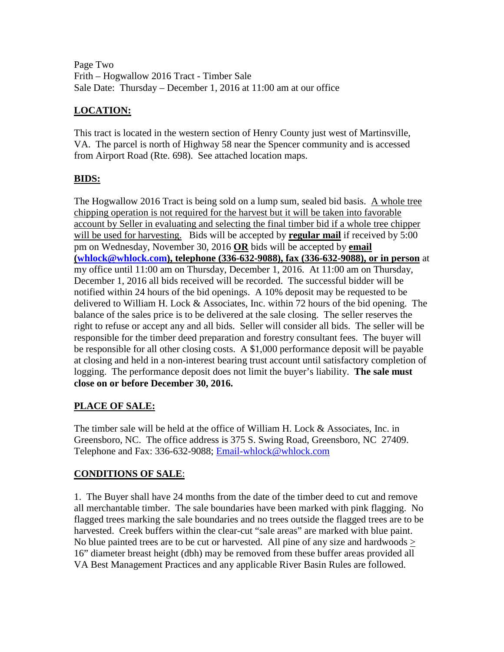Page Two Frith – Hogwallow 2016 Tract - Timber Sale Sale Date: Thursday – December 1, 2016 at 11:00 am at our office

# **LOCATION:**

This tract is located in the western section of Henry County just west of Martinsville, VA. The parcel is north of Highway 58 near the Spencer community and is accessed from Airport Road (Rte. 698). See attached location maps.

# **BIDS:**

The Hogwallow 2016 Tract is being sold on a lump sum, sealed bid basis. A whole tree chipping operation is not required for the harvest but it will be taken into favorable account by Seller in evaluating and selecting the final timber bid if a whole tree chipper will be used for harvesting. Bids will be accepted by **regular mail** if received by 5:00 pm on Wednesday, November 30, 2016 **OR** bids will be accepted by **email [\(whlock@whlock.com\)](mailto:whlock@whlock.com), telephone (336-632-9088), fax (336-632-9088), or in person** at my office until 11:00 am on Thursday, December 1, 2016. At 11:00 am on Thursday, December 1, 2016 all bids received will be recorded. The successful bidder will be notified within 24 hours of the bid openings. A 10% deposit may be requested to be delivered to William H. Lock & Associates, Inc. within 72 hours of the bid opening. The balance of the sales price is to be delivered at the sale closing. The seller reserves the right to refuse or accept any and all bids. Seller will consider all bids. The seller will be responsible for the timber deed preparation and forestry consultant fees. The buyer will be responsible for all other closing costs. A \$1,000 performance deposit will be payable at closing and held in a non-interest bearing trust account until satisfactory completion of logging. The performance deposit does not limit the buyer's liability. **The sale must close on or before December 30, 2016.**

# **PLACE OF SALE:**

The timber sale will be held at the office of William H. Lock & Associates, Inc. in Greensboro, NC. The office address is 375 S. Swing Road, Greensboro, NC 27409. Telephone and Fax: 336-632-9088; [Email-whlock@whlock.com](mailto:Email-whlock@whlock.com)

# **CONDITIONS OF SALE**:

1. The Buyer shall have 24 months from the date of the timber deed to cut and remove all merchantable timber. The sale boundaries have been marked with pink flagging. No flagged trees marking the sale boundaries and no trees outside the flagged trees are to be harvested. Creek buffers within the clear-cut "sale areas" are marked with blue paint. No blue painted trees are to be cut or harvested. All pine of any size and hardwoods > 16" diameter breast height (dbh) may be removed from these buffer areas provided all VA Best Management Practices and any applicable River Basin Rules are followed.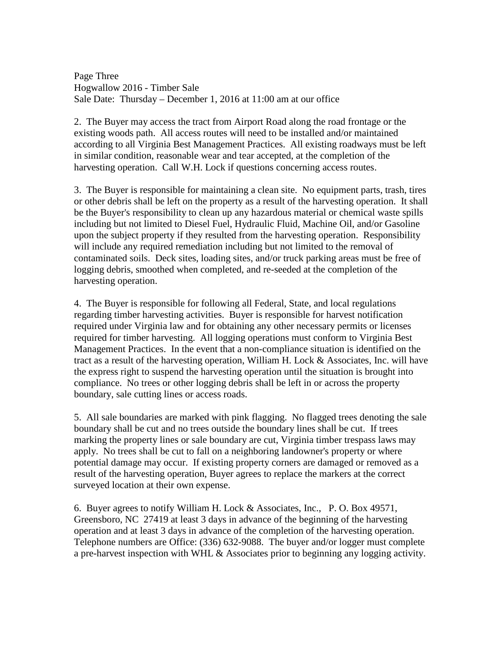Page Three Hogwallow 2016 - Timber Sale Sale Date: Thursday – December 1, 2016 at 11:00 am at our office

2. The Buyer may access the tract from Airport Road along the road frontage or the existing woods path. All access routes will need to be installed and/or maintained according to all Virginia Best Management Practices. All existing roadways must be left in similar condition, reasonable wear and tear accepted, at the completion of the harvesting operation. Call W.H. Lock if questions concerning access routes.

3. The Buyer is responsible for maintaining a clean site. No equipment parts, trash, tires or other debris shall be left on the property as a result of the harvesting operation. It shall be the Buyer's responsibility to clean up any hazardous material or chemical waste spills including but not limited to Diesel Fuel, Hydraulic Fluid, Machine Oil, and/or Gasoline upon the subject property if they resulted from the harvesting operation. Responsibility will include any required remediation including but not limited to the removal of contaminated soils. Deck sites, loading sites, and/or truck parking areas must be free of logging debris, smoothed when completed, and re-seeded at the completion of the harvesting operation.

4. The Buyer is responsible for following all Federal, State, and local regulations regarding timber harvesting activities. Buyer is responsible for harvest notification required under Virginia law and for obtaining any other necessary permits or licenses required for timber harvesting. All logging operations must conform to Virginia Best Management Practices. In the event that a non-compliance situation is identified on the tract as a result of the harvesting operation, William H. Lock & Associates, Inc. will have the express right to suspend the harvesting operation until the situation is brought into compliance. No trees or other logging debris shall be left in or across the property boundary, sale cutting lines or access roads.

5. All sale boundaries are marked with pink flagging. No flagged trees denoting the sale boundary shall be cut and no trees outside the boundary lines shall be cut. If trees marking the property lines or sale boundary are cut, Virginia timber trespass laws may apply. No trees shall be cut to fall on a neighboring landowner's property or where potential damage may occur. If existing property corners are damaged or removed as a result of the harvesting operation, Buyer agrees to replace the markers at the correct surveyed location at their own expense.

6. Buyer agrees to notify William H. Lock & Associates, Inc., P. O. Box 49571, Greensboro, NC 27419 at least 3 days in advance of the beginning of the harvesting operation and at least 3 days in advance of the completion of the harvesting operation. Telephone numbers are Office: (336) 632-9088. The buyer and/or logger must complete a pre-harvest inspection with WHL & Associates prior to beginning any logging activity.